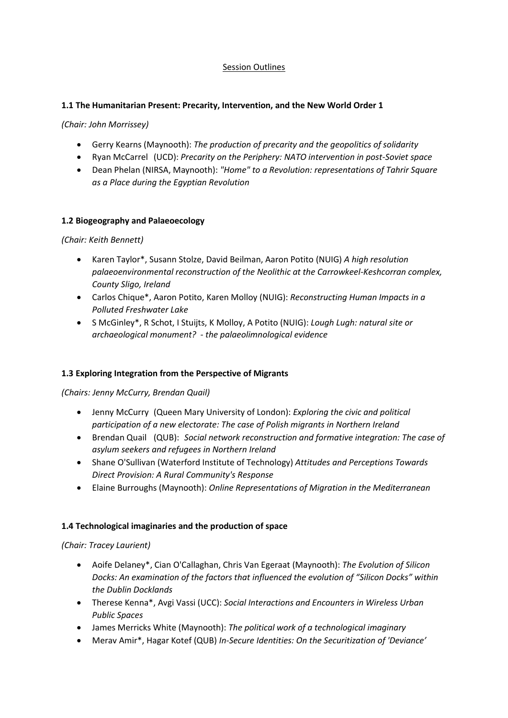## Session Outlines

## **1.1 The Humanitarian Present: Precarity, Intervention, and the New World Order 1**

*(Chair: John Morrissey)*

- Gerry Kearns (Maynooth): *The production of precarity and the geopolitics of solidarity*
- Ryan McCarrel (UCD): *Precarity on the Periphery: NATO intervention in post-Soviet space*
- Dean Phelan (NIRSA, Maynooth): *"Home" to a Revolution: representations of Tahrir Square as a Place during the Egyptian Revolution*

## **1.2 Biogeography and Palaeoecology**

*(Chair: Keith Bennett)*

- Karen Taylor\*, Susann Stolze, David Beilman, Aaron Potito (NUIG) *A high resolution palaeoenvironmental reconstruction of the Neolithic at the Carrowkeel-Keshcorran complex, County Sligo, Ireland*
- Carlos Chique\*, Aaron Potito, Karen Molloy (NUIG): *Reconstructing Human Impacts in a Polluted Freshwater Lake*
- S McGinley\*, R Schot, I Stuijts, K Molloy, A Potito (NUIG): *Lough Lugh: natural site or archaeological monument? - the palaeolimnological evidence*

## **1.3 Exploring Integration from the Perspective of Migrants**

*(Chairs: Jenny McCurry, Brendan Quail)*

- Jenny McCurry (Queen Mary University of London): *Exploring the civic and political participation of a new electorate: The case of Polish migrants in Northern Ireland*
- Brendan Quail (QUB): *Social network reconstruction and formative integration: The case of asylum seekers and refugees in Northern Ireland*
- Shane O'Sullivan (Waterford Institute of Technology) *Attitudes and Perceptions Towards Direct Provision: A Rural Community's Response*
- Elaine Burroughs (Maynooth): *Online Representations of Migration in the Mediterranean*

## **1.4 Technological imaginaries and the production of space**

*(Chair: Tracey Laurient)*

- Aoife Delaney\*, Cian O'Callaghan, Chris Van Egeraat (Maynooth): *The Evolution of Silicon Docks: An examination of the factors that influenced the evolution of "Silicon Docks" within the Dublin Docklands*
- Therese Kenna\*, Avgi Vassi (UCC): *Social Interactions and Encounters in Wireless Urban Public Spaces*
- James Merricks White (Maynooth): *The political work of a technological imaginary*
- Merav Amir\*, Hagar Kotef (QUB) *In-Secure Identities: On the Securitization of 'Deviance'*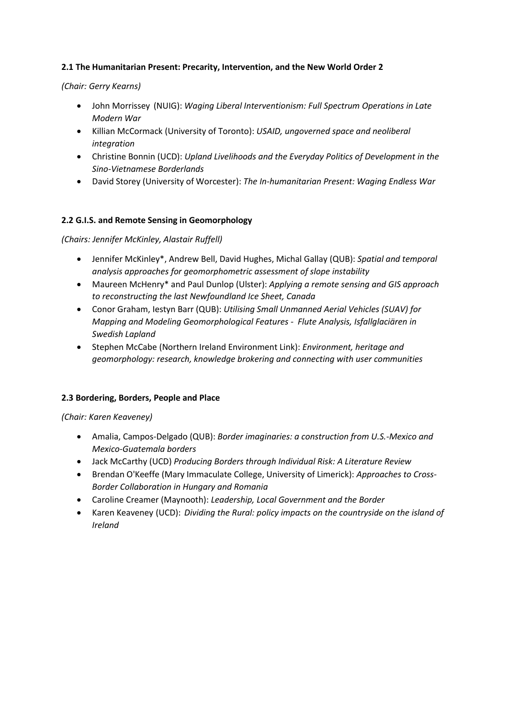## **2.1 The Humanitarian Present: Precarity, Intervention, and the New World Order 2**

### *(Chair: Gerry Kearns)*

- John Morrissey (NUIG): *Waging Liberal Interventionism: Full Spectrum Operations in Late Modern War*
- Killian McCormack (University of Toronto): *USAID, ungoverned space and neoliberal integration*
- Christine Bonnin (UCD): *Upland Livelihoods and the Everyday Politics of Development in the Sino-Vietnamese Borderlands*
- David Storey (University of Worcester): *The In-humanitarian Present: Waging Endless War*

## **2.2 G.I.S. and Remote Sensing in Geomorphology**

*(Chairs: Jennifer McKinley, Alastair Ruffell)*

- Jennifer McKinley\*, Andrew Bell, David Hughes, Michal Gallay (QUB): *Spatial and temporal analysis approaches for geomorphometric assessment of slope instability*
- Maureen McHenry\* and Paul Dunlop (Ulster): *Applying a remote sensing and GIS approach to reconstructing the last Newfoundland Ice Sheet, Canada*
- Conor Graham, Iestyn Barr (QUB): *Utilising Small Unmanned Aerial Vehicles (SUAV) for Mapping and Modeling Geomorphological Features - Flute Analysis, Isfallglaciären in Swedish Lapland*
- Stephen McCabe (Northern Ireland Environment Link): *Environment, heritage and geomorphology: research, knowledge brokering and connecting with user communities*

## **2.3 Bordering, Borders, People and Place**

*(Chair: Karen Keaveney)*

- Amalia, Campos-Delgado (QUB): *Border imaginaries: a construction from U.S.-Mexico and Mexico-Guatemala borders*
- Jack McCarthy (UCD) *Producing Borders through Individual Risk: A Literature Review*
- Brendan O'Keeffe (Mary Immaculate College, University of Limerick): *Approaches to Cross-Border Collaboration in Hungary and Romania*
- Caroline Creamer (Maynooth): *Leadership, Local Government and the Border*
- Karen Keaveney (UCD): *Dividing the Rural: policy impacts on the countryside on the island of Ireland*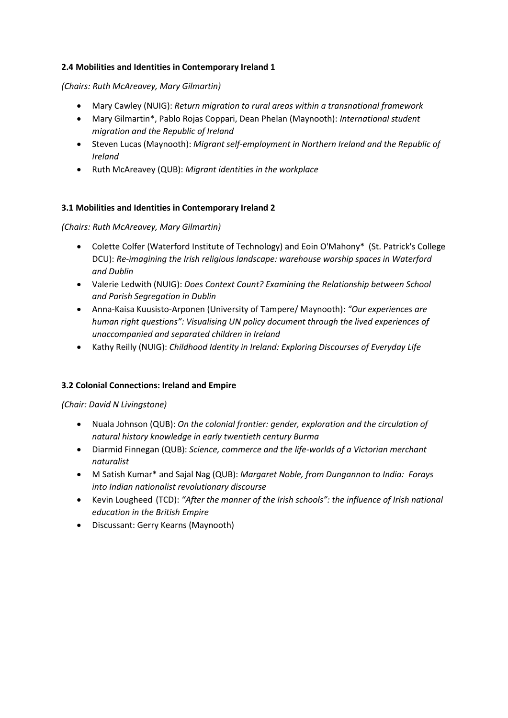## **2.4 Mobilities and Identities in Contemporary Ireland 1**

*(Chairs: Ruth McAreavey, Mary Gilmartin)*

- Mary Cawley (NUIG): *Return migration to rural areas within a transnational framework*
- Mary Gilmartin\*, Pablo Rojas Coppari, Dean Phelan (Maynooth): *International student migration and the Republic of Ireland*
- Steven Lucas (Maynooth): *Migrant self-employment in Northern Ireland and the Republic of Ireland*
- Ruth McAreavey (QUB): *Migrant identities in the workplace*

## **3.1 Mobilities and Identities in Contemporary Ireland 2**

## *(Chairs: Ruth McAreavey, Mary Gilmartin)*

- Colette Colfer (Waterford Institute of Technology) and Eoin O'Mahony\* (St. Patrick's College DCU): *Re-imagining the Irish religious landscape: warehouse worship spaces in Waterford and Dublin*
- Valerie Ledwith (NUIG): *Does Context Count? Examining the Relationship between School and Parish Segregation in Dublin*
- Anna-Kaisa Kuusisto-Arponen (University of Tampere/ Maynooth): *"Our experiences are human right questions": Visualising UN policy document through the lived experiences of unaccompanied and separated children in Ireland*
- Kathy Reilly (NUIG): *Childhood Identity in Ireland: Exploring Discourses of Everyday Life*

## **3.2 Colonial Connections: Ireland and Empire**

## *(Chair: David N Livingstone)*

- Nuala Johnson (QUB): *On the colonial frontier: gender, exploration and the circulation of natural history knowledge in early twentieth century Burma*
- Diarmid Finnegan (QUB): *Science, commerce and the life-worlds of a Victorian merchant naturalist*
- M Satish Kumar\* and Sajal Nag (QUB): *Margaret Noble, from Dungannon to India: Forays into Indian nationalist revolutionary discourse*
- Kevin Lougheed (TCD): *"After the manner of the Irish schools": the influence of Irish national education in the British Empire*
- Discussant: Gerry Kearns (Maynooth)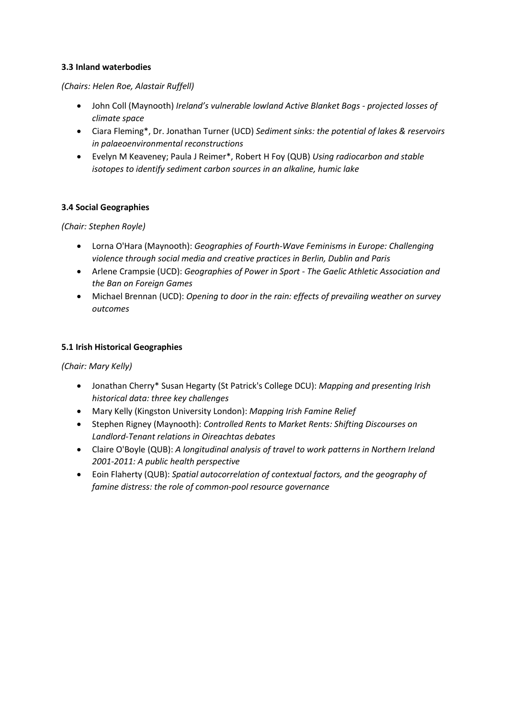## **3.3 Inland waterbodies**

#### *(Chairs: Helen Roe, Alastair Ruffell)*

- John Coll (Maynooth) *Ireland's vulnerable lowland Active Blanket Bogs - projected losses of climate space*
- Ciara Fleming\*, Dr. Jonathan Turner (UCD) *Sediment sinks: the potential of lakes & reservoirs in palaeoenvironmental reconstructions*
- Evelyn M Keaveney; Paula J Reimer\*, Robert H Foy (QUB) *Using radiocarbon and stable isotopes to identify sediment carbon sources in an alkaline, humic lake*

## **3.4 Social Geographies**

*(Chair: Stephen Royle)*

- Lorna O'Hara (Maynooth): *Geographies of Fourth-Wave Feminisms in Europe: Challenging violence through social media and creative practices in Berlin, Dublin and Paris*
- Arlene Crampsie (UCD): *Geographies of Power in Sport - The Gaelic Athletic Association and the Ban on Foreign Games*
- Michael Brennan (UCD): *Opening to door in the rain: effects of prevailing weather on survey outcomes*

### **5.1 Irish Historical Geographies**

*(Chair: Mary Kelly)*

- Jonathan Cherry\* Susan Hegarty (St Patrick's College DCU): *Mapping and presenting Irish historical data: three key challenges*
- Mary Kelly (Kingston University London): *Mapping Irish Famine Relief*
- Stephen Rigney (Maynooth): *Controlled Rents to Market Rents: Shifting Discourses on Landlord-Tenant relations in Oireachtas debates*
- Claire O'Boyle (QUB): *A longitudinal analysis of travel to work patterns in Northern Ireland 2001-2011: A public health perspective*
- Eoin Flaherty (QUB): *Spatial autocorrelation of contextual factors, and the geography of famine distress: the role of common-pool resource governance*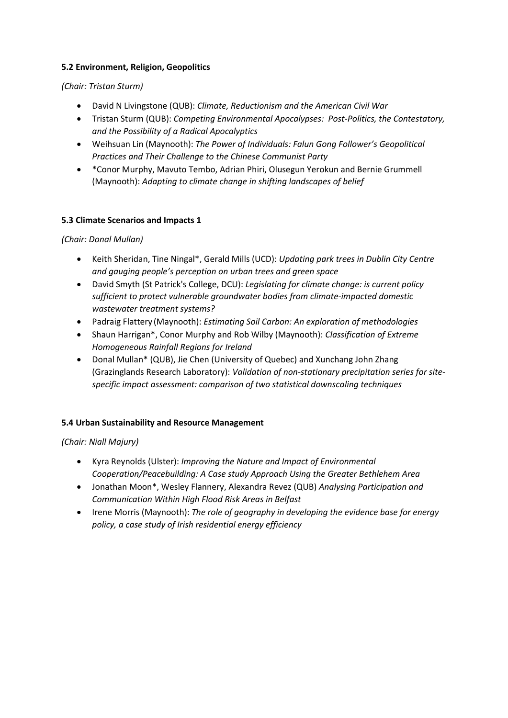## **5.2 Environment, Religion, Geopolitics**

## *(Chair: Tristan Sturm)*

- David N Livingstone (QUB): *Climate, Reductionism and the American Civil War*
- Tristan Sturm (QUB): *Competing Environmental Apocalypses: Post-Politics, the Contestatory, and the Possibility of a Radical Apocalyptics*
- Weihsuan Lin (Maynooth): *The Power of Individuals: Falun Gong Follower's Geopolitical Practices and Their Challenge to the Chinese Communist Party*
- \*Conor Murphy, Mavuto Tembo, Adrian Phiri, Olusegun Yerokun and Bernie Grummell (Maynooth): *Adapting to climate change in shifting landscapes of belief*

## **5.3 Climate Scenarios and Impacts 1**

*(Chair: Donal Mullan)*

- Keith Sheridan, Tine Ningal\*, Gerald Mills (UCD): *Updating park trees in Dublin City Centre and gauging people's perception on urban trees and green space*
- David Smyth (St Patrick's College, DCU): *Legislating for climate change: is current policy sufficient to protect vulnerable groundwater bodies from climate-impacted domestic wastewater treatment systems?*
- Padraig Flattery (Maynooth): *Estimating Soil Carbon: An exploration of methodologies*
- Shaun Harrigan\*, Conor Murphy and Rob Wilby (Maynooth): *Classification of Extreme Homogeneous Rainfall Regions for Ireland*
- Donal Mullan\* (QUB), Jie Chen (University of Quebec) and Xunchang John Zhang (Grazinglands Research Laboratory): *Validation of non-stationary precipitation series for sitespecific impact assessment: comparison of two statistical downscaling techniques*

# **5.4 Urban Sustainability and Resource Management**

*(Chair: Niall Majury)*

- Kyra Reynolds (Ulster): *Improving the Nature and Impact of Environmental Cooperation/Peacebuilding: A Case study Approach Using the Greater Bethlehem Area*
- Jonathan Moon\*, Wesley Flannery, Alexandra Revez (QUB) *Analysing Participation and Communication Within High Flood Risk Areas in Belfast*
- Irene Morris (Maynooth): *The role of geography in developing the evidence base for energy policy, a case study of Irish residential energy efficiency*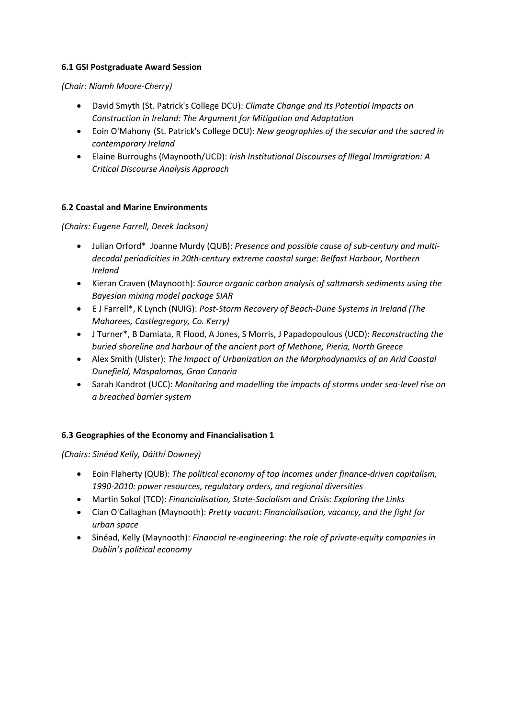## **6.1 GSI Postgraduate Award Session**

*(Chair: Niamh Moore-Cherry)*

- David Smyth (St. Patrick's College DCU): *Climate Change and its Potential Impacts on Construction in Ireland: The Argument for Mitigation and Adaptation*
- Eoin O'Mahony (St. Patrick's College DCU): *New geographies of the secular and the sacred in contemporary Ireland*
- Elaine Burroughs (Maynooth/UCD): *Irish Institutional Discourses of Illegal Immigration: A Critical Discourse Analysis Approach*

### **6.2 Coastal and Marine Environments**

*(Chairs: Eugene Farrell, Derek Jackson)*

- Julian Orford\* Joanne Murdy (QUB): *Presence and possible cause of sub-century and multidecadal periodicities in 20th-century extreme coastal surge: Belfast Harbour, Northern Ireland*
- Kieran Craven (Maynooth): *Source organic carbon analysis of saltmarsh sediments using the Bayesian mixing model package SIAR*
- E J Farrell\*, K Lynch (NUIG): *Post-Storm Recovery of Beach-Dune Systems in Ireland (The Maharees, Castlegregory, Co. Kerry)*
- J Turner\*, B Damiata, R Flood, A Jones, S Morris, J Papadopoulous (UCD): *Reconstructing the buried shoreline and harbour of the ancient port of Methone, Pieria, North Greece*
- Alex Smith (Ulster): *The Impact of Urbanization on the Morphodynamics of an Arid Coastal Dunefield, Maspalomas, Gran Canaria*
- Sarah Kandrot (UCC): *Monitoring and modelling the impacts of storms under sea-level rise on a breached barrier system*

## **6.3 Geographies of the Economy and Financialisation 1**

*(Chairs: Sinéad Kelly, Dáithí Downey)*

- Eoin Flaherty (QUB): *The political economy of top incomes under finance-driven capitalism, 1990-2010: power resources, regulatory orders, and regional diversities*
- Martin Sokol (TCD): *Financialisation, State-Socialism and Crisis: Exploring the Links*
- Cian O'Callaghan (Maynooth): *Pretty vacant: Financialisation, vacancy, and the fight for urban space*
- Sinéad, Kelly (Maynooth): *Financial re-engineering: the role of private-equity companies in Dublin's political economy*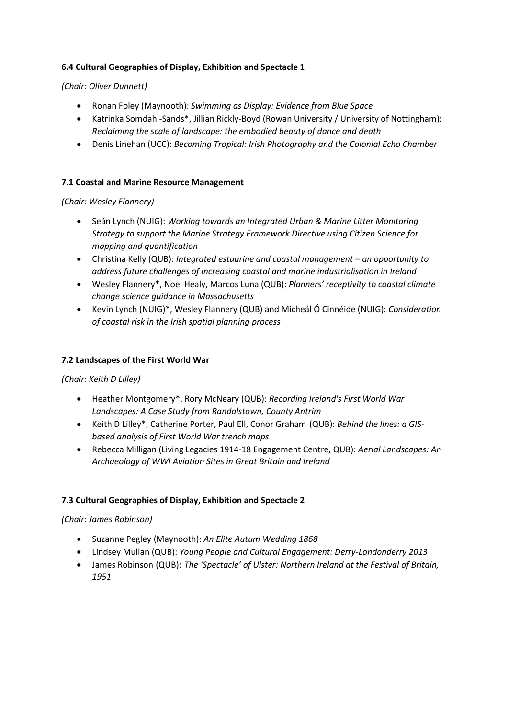## **6.4 Cultural Geographies of Display, Exhibition and Spectacle 1**

## *(Chair: Oliver Dunnett)*

- Ronan Foley (Maynooth): *Swimming as Display: Evidence from Blue Space*
- Katrinka Somdahl-Sands\*, Jillian Rickly-Boyd (Rowan University / University of Nottingham): *Reclaiming the scale of landscape: the embodied beauty of dance and death*
- Denis Linehan (UCC): *Becoming Tropical: Irish Photography and the Colonial Echo Chamber*

## **7.1 Coastal and Marine Resource Management**

## *(Chair: Wesley Flannery)*

- Seán Lynch (NUIG): *Working towards an Integrated Urban & Marine Litter Monitoring Strategy to support the Marine Strategy Framework Directive using Citizen Science for mapping and quantification*
- Christina Kelly (QUB): *Integrated estuarine and coastal management – an opportunity to address future challenges of increasing coastal and marine industrialisation in Ireland*
- Wesley Flannery\*, Noel Healy, Marcos Luna (QUB): *Planners' receptivity to coastal climate change science guidance in Massachusetts*
- Kevin Lynch (NUIG)\*, Wesley Flannery (QUB) and Micheál Ó Cinnéide (NUIG): *Consideration of coastal risk in the Irish spatial planning process*

## **7.2 Landscapes of the First World War**

## *(Chair: Keith D Lilley)*

- Heather Montgomery\*, Rory McNeary (QUB): *Recording Ireland's First World War Landscapes: A Case Study from Randalstown, County Antrim*
- Keith D Lilley\*, Catherine Porter, Paul Ell, Conor Graham (QUB): *Behind the lines: a GISbased analysis of First World War trench maps*
- Rebecca Milligan (Living Legacies 1914-18 Engagement Centre, QUB): *Aerial Landscapes: An Archaeology of WWI Aviation Sites in Great Britain and Ireland*

# **7.3 Cultural Geographies of Display, Exhibition and Spectacle 2**

## *(Chair: James Robinson)*

- Suzanne Pegley (Maynooth): *An Elite Autum Wedding 1868*
- Lindsey Mullan (QUB): *Young People and Cultural Engagement: Derry-Londonderry 2013*
- James Robinson (QUB): *The 'Spectacle' of Ulster: Northern Ireland at the Festival of Britain, 1951*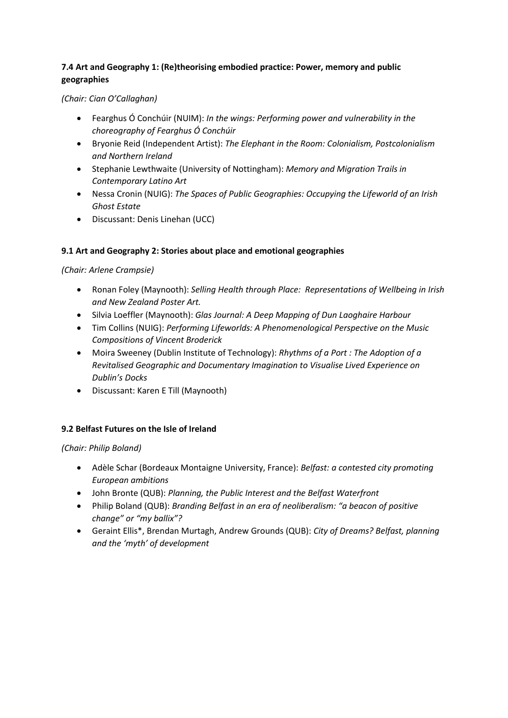# **7.4 Art and Geography 1: (Re)theorising embodied practice: Power, memory and public geographies**

*(Chair: Cian O'Callaghan)*

- Fearghus Ó Conchúir (NUIM): *In the wings: Performing power and vulnerability in the choreography of Fearghus Ó Conchúir*
- Bryonie Reid (Independent Artist): *The Elephant in the Room: Colonialism, Postcolonialism and Northern Ireland*
- Stephanie Lewthwaite (University of Nottingham): *Memory and Migration Trails in Contemporary Latino Art*
- Nessa Cronin (NUIG): *The Spaces of Public Geographies: Occupying the Lifeworld of an Irish Ghost Estate*
- Discussant: Denis Linehan (UCC)

# **9.1 Art and Geography 2: Stories about place and emotional geographies**

*(Chair: Arlene Crampsie)*

- Ronan Foley (Maynooth): *Selling Health through Place: Representations of Wellbeing in Irish and New Zealand Poster Art.*
- Silvia Loeffler (Maynooth): *Glas Journal: A Deep Mapping of Dun Laoghaire Harbour*
- Tim Collins (NUIG): *Performing Lifeworlds: A Phenomenological Perspective on the Music Compositions of Vincent Broderick*
- Moira Sweeney (Dublin Institute of Technology): *Rhythms of a Port : The Adoption of a Revitalised Geographic and Documentary Imagination to Visualise Lived Experience on Dublin's Docks*
- Discussant: Karen E Till (Maynooth)

## **9.2 Belfast Futures on the Isle of Ireland**

*(Chair: Philip Boland)*

- Adèle Schar (Bordeaux Montaigne University, France): *Belfast: a contested city promoting European ambitions*
- John Bronte (QUB): *Planning, the Public Interest and the Belfast Waterfront*
- Philip Boland (QUB): *Branding Belfast in an era of neoliberalism: "a beacon of positive change" or "my ballix"?*
- Geraint Ellis\*, Brendan Murtagh, Andrew Grounds (QUB): *City of Dreams? Belfast, planning and the 'myth' of development*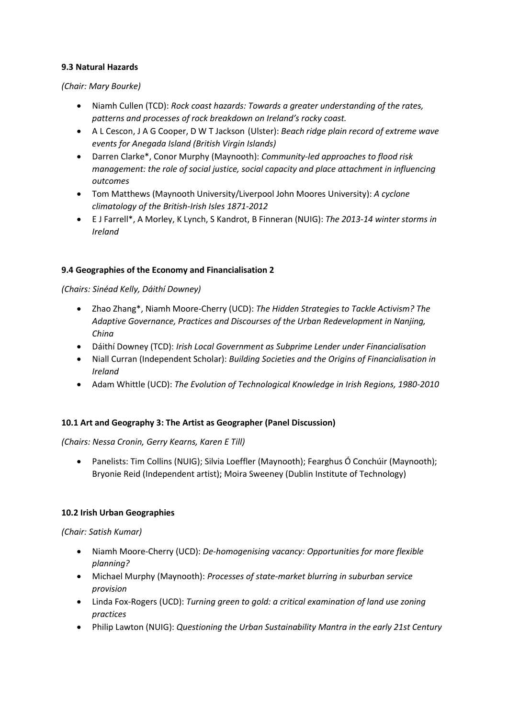## **9.3 Natural Hazards**

### *(Chair: Mary Bourke)*

- Niamh Cullen (TCD): *Rock coast hazards: Towards a greater understanding of the rates, patterns and processes of rock breakdown on Ireland's rocky coast.*
- A L Cescon, J A G Cooper, D W T Jackson (Ulster): *Beach ridge plain record of extreme wave events for Anegada Island (British Virgin Islands)*
- Darren Clarke\*, Conor Murphy (Maynooth): *Community-led approaches to flood risk management: the role of social justice, social capacity and place attachment in influencing outcomes*
- Tom Matthews (Maynooth University/Liverpool John Moores University): *A cyclone climatology of the British-Irish Isles 1871-2012*
- E J Farrell\*, A Morley, K Lynch, S Kandrot, B Finneran (NUIG): *The 2013-14 winter storms in Ireland*

### **9.4 Geographies of the Economy and Financialisation 2**

### *(Chairs: Sinéad Kelly, Dáithí Downey)*

- Zhao Zhang\*, Niamh Moore-Cherry (UCD): *The Hidden Strategies to Tackle Activism? The Adaptive Governance, Practices and Discourses of the Urban Redevelopment in Nanjing, China*
- Dáithí Downey (TCD): *Irish Local Government as Subprime Lender under Financialisation*
- Niall Curran (Independent Scholar): *Building Societies and the Origins of Financialisation in Ireland*
- Adam Whittle (UCD): *The Evolution of Technological Knowledge in Irish Regions, 1980-2010*

## **10.1 Art and Geography 3: The Artist as Geographer (Panel Discussion)**

## *(Chairs: Nessa Cronin, Gerry Kearns, Karen E Till)*

 Panelists: Tim Collins (NUIG); Silvia Loeffler (Maynooth); Fearghus Ó Conchúir (Maynooth); Bryonie Reid (Independent artist); Moira Sweeney (Dublin Institute of Technology)

## **10.2 Irish Urban Geographies**

## *(Chair: Satish Kumar)*

- Niamh Moore-Cherry (UCD): *De-homogenising vacancy: Opportunities for more flexible planning?*
- Michael Murphy (Maynooth): *Processes of state-market blurring in suburban service provision*
- Linda Fox-Rogers (UCD): *Turning green to gold: a critical examination of land use zoning practices*
- Philip Lawton (NUIG): *Questioning the Urban Sustainability Mantra in the early 21st Century*